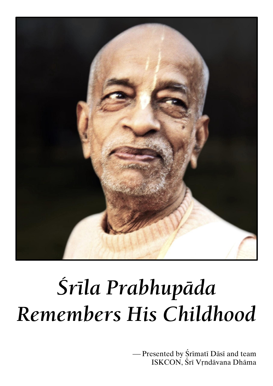

# Śrīla Prabhupāda Remembers His Childhood

-Presented by Śrīmatī Dāsī and team ISKCON, Śrī Vŗndāvana Dhāma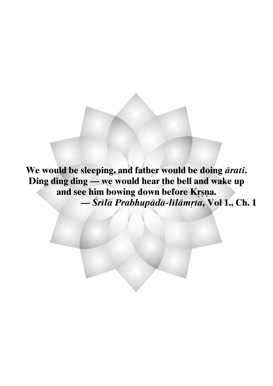We would be sleeping, and father would be doing ārati. Ding ding ding - we would hear the bell and wake up and see him bowing down before Krsna. — Šrīla Prabhupāda-līlāmṛta, Vol 1., Ch. 1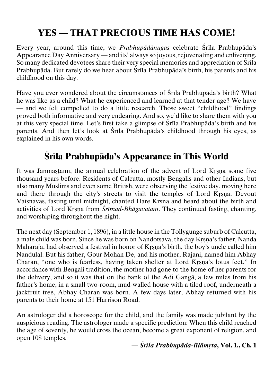# **YES — THAT PRECIOUS TIME HAS COME!**

Every year, around this time, we *Prabhupādānugas* celebrate Śrīla Prabhupāda's Appearance Day Anniversary — and its' always so joyous, rejuvenating and enlivening. So many dedicated devotees share their very special memories and appreciation of Srila Prabhupāda. But rarely do we hear about Śrīla Prabhupāda's birth, his parents and his childhood on this day.

Have you ever wondered about the circumstances of Srila Prabhupāda's birth? What he was like as a child? What he experienced and learned at that tender age? We have — and we felt compelled to do a little research. Those sweet "childhood" findings proved both informative and very endearing. And so, we'd like to share them with you at this very special time. Let's first take a glimpse of Srila Prabhupāda's birth and his parents. And then let's look at Srila Prabhupāda's childhood through his eyes, as explained in his own words.

# **Çréla Prabhupäda's Appearance in This World**

It was Janmästami, the annual celebration of the advent of Lord Krsna some five thousand years before. Residents of Calcutta, mostly Bengalis and other Indians, but also many Muslims and even some British, were observing the festive day, moving here and there through the city's streets to visit the temples of Lord Krsna. Devout Vaisnavas, fasting until midnight, chanted Hare Krsna and heard about the birth and activities of Lord Krsna from *Śrīmad-Bhāgavatam*. They continued fasting, chanting, and worshiping throughout the night.

The next day (September 1, 1896), in a little house in the Tollygunge suburb of Calcutta, a male child was born. Since he was born on Nandotsava, the day Krsna's father, Nanda Mahārāja, had observed a festival in honor of Krsna's birth, the boy's uncle called him Nandulal. But his father, Gour Mohan De, and his mother, Rajani, named him Abhay Charan, "one who is fearless, having taken shelter at Lord Krsna's lotus feet." In accordance with Bengali tradition, the mother had gone to the home of her parents for the delivery, and so it was that on the bank of the  $\bar{A}$ di Ganga, a few miles from his father's home, in a small two-room, mud-walled house with a tiled roof, underneath a jackfruit tree, Abhay Charan was born. A few days later, Abhay returned with his parents to their home at 151 Harrison Road.

An astrologer did a horoscope for the child, and the family was made jubilant by the auspicious reading. The astrologer made a specific prediction: When this child reached the age of seventy, he would cross the ocean, become a great exponent of religion, and open 108 temples.

#### **—** *Çréla Prabhupäda-lélämåta***, Vol. 1., Ch. 1**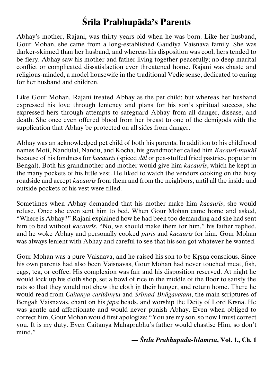# **Çréla Prabhupäda's Parents**

Abhay's mother, Rajani, was thirty years old when he was born. Like her husband, Gour Mohan, she came from a long-established Gaudīya Vaisnava family. She was darker-skinned than her husband, and whereas his disposition was cool, hers tended to be fiery. Abhay saw his mother and father living together peacefully; no deep marital conflict or complicated dissatisfaction ever threatened home. Rajani was chaste and religious-minded, a model housewife in the traditional Vedic sense, dedicated to caring for her husband and children.

Like Gour Mohan, Rajani treated Abhay as the pet child; but whereas her husband expressed his love through leniency and plans for his son's spiritual success, she expressed hers through attempts to safeguard Abhay from all danger, disease, and death. She once even offered blood from her breast to one of the demigods with the supplication that Abhay be protected on all sides from danger.

Abhay was an acknowledged pet child of both his parents. In addition to his childhood names Moti, Nandulal, Nandu, and Kocha, his grandmother called him *Kacauré-mukhé* because of his fondness for *kacaurés* (spiced *däl* or pea-stuffed fried pastries, popular in Bengal). Both his grandmother and mother would give him *kacauris*, which he kept in the many pockets of his little vest. He liked to watch the vendors cooking on the busy roadside and accept *kacaurés* from them and from the neighbors, until all the inside and outside pockets of his vest were filled.

Sometimes when Abhay demanded that his mother make him *kacauris*, she would refuse. Once she even sent him to bed. When Gour Mohan came home and asked, "Where is Abhay?" Rajani explained how he had been too demanding and she had sent him to bed without *kacauris*. "No, we should make them for him," his father replied, and he woke Abhay and personally cooked *purés* and *kacaurés* for him. Gour Mohan was always lenient with Abhay and careful to see that his son got whatever he wanted.

Gour Mohan was a pure Vaisnava, and he raised his son to be Krsna conscious. Since his own parents had also been Vaiṣṇavas, Gour Mohan had never touched meat, fish, eggs, tea, or coffee. His complexion was fair and his disposition reserved. At night he would lock up his cloth shop, set a bowl of rice in the middle of the floor to satisfy the rats so that they would not chew the cloth in their hunger, and return home. There he would read from *Caitanya-caritāmrta* and *Śrīmad-Bhāgavatam*, the main scriptures of Bengali Vaisnavas, chant on his *japa* beads, and worship the Deity of Lord Krsna. He was gentle and affectionate and would never punish Abhay. Even when obliged to correct him, Gour Mohan would first apologize: "You are my son, so now I must correct you. It is my duty. Even Caitanya Mahäprabhu's father would chastise Him, so don't mind."

#### **—** *Çréla Prabhupäda-lélämåta***, Vol. 1., Ch. 1**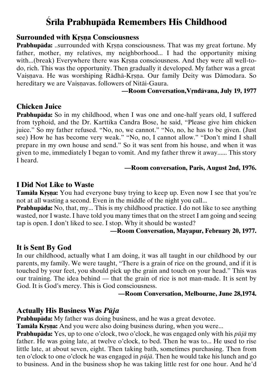# **Çréla Prabhupäda Remembers His Childhood**

# **Surrounded with Krsna Consciousness**

**Prabhupāda:** ..surrounded with Krsna consciousness. That was my great fortune. My father, mother, my relatives, my neighborhood... I had the opportunity mixing with...(break) Everywhere there was Krsna consciousness. And they were all well-todo, rich. This was the opportunity. Then gradually it developed. My father was a great Vaisnava. He was worshiping Rādhā-Krsna. Our family Deity was Dāmodara. So hereditary we are Vaisnavas. followers of Nitāi-Gaura.

#### **—Room Conversation,Våndävana, July 19, 1977**

## **Chicken Juice**

**Prabhupäda:** So in my childhood, when I was one and one-half years old, I suffered from typhoid, and the Dr. Karttika Candra Bose, he said, "Please give him chicken juice." So my father refused. "No, no, we cannot." "No, no, he has to be given. (Just see) How he has become very weak." "No, no, I cannot allow." "Don't mind I shall prepare in my own house and send." So it was sent from his house, and when it was given to me, immediately I began to vomit. And my father threw it away...... This story I heard.

#### **—Room conversation, Paris, August 2nd, 1976.**

## **I Did Not Like to Waste**

**Tamāla Krsna:** You had everyone busy trying to keep up. Even now I see that you're not at all wasting a second. Even in the middle of the night you call...

**Prabhupäda:** No, that, my... This is my childhood practice. I do not like to see anything wasted, nor I waste. I have told you many times that on the street I am going and seeing tap is open. I don't liked to see. I stop. Why it should be wasted?

#### **—Room Conversation, Mayapur, February 20, 1977.**

## **It is Sent By God**

In our childhood, actually what I am doing, it was all taught in our childhood by our parents, my family. We were taught, "There is a grain of rice on the ground, and if it is touched by your feet, you should pick up the grain and touch on your head." This was our training. The idea behind — that the grain of rice is not man-made. It is sent by God. It is God's mercy. This is God consciousness.

#### **—Room Conversation, Melbourne, June 28,1974.**

## **Actually His Business Was** *Püja*

**Prabhupäda:** My father was doing business, and he was a great devotee.

**Tamāla Krsna:** And you were also doing business during, when you were...

**Prabhupäda:** Yes, up to one o'clock, two o'clock, he was engaged only with his *püjä* my father. He was going late, at twelve o'clock, to bed. Then he was to... He used to rise little late, at about seven, eight. Then taking bath, sometimes purchasing. Then from ten o'clock to one o'clock he was engaged in *püjä*. Then he would take his lunch and go to business. And in the business shop he was taking little rest for one hour. And he'd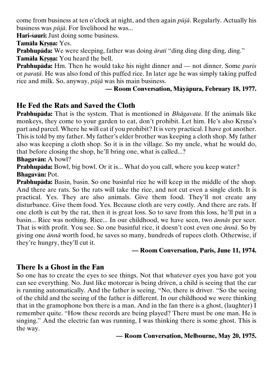come from business at ten o'clock at night, and then again *püjä*. Regularly. Actually his business was *püjä*. For livelihood he was...

**Hari-çauri:** Just doing some business.

**Tamäla Krsna:** Yes.

**Prabhupäda:** We were sleeping, father was doing *ärati* "ding ding ding ding, ding." **Tamāla Krsna:** You heard the bell.

**Prabhupäda:** Hm. Then he would take his night dinner and — not dinner. Some *puris* or *paraöä*. He was also fond of this puffed rice. In later age he was simply taking puffed rice and milk. So, anyway, *püjä* was his main business.

## **— Room Conversation, Mäyäpura, February 18, 1977.**

# **He Fed the Rats and Saved the Cloth**

**Prabhupäda:** That is the system. That is mentioned in *Bhägavata*. If the animals like monkeys, they come to your garden to eat, don't prohibit. Let him. He's also Krsna's part and parcel. Where he will eat if you prohibit? It is very practical. I have got another. This is told by my father. My father's elder brother was keeping a cloth shop. My father also was keeping a cloth shop. So it is in the village. So my uncle, what he would do, that before closing the shop, he'll bring one, what is called...?

#### **Bhagavän:** A bowl?

**Prabhupäda:** Bowl, big bowl. Or it is... What do you call, where you keep water? **Bhagavän:** Pot.

**Prabhupäda:** Basin, basin. So one basinful rice he will keep in the middle of the shop. And there are rats. So the rats will take the rice, and not cut even a single cloth. It is practical. Yes. They are also animals. Give them food. They'll not create any disturbance. Give them food. Yes. Because cloth are very costly. And there are rats. If one cloth is cut by the rat, then it is great loss. So to save from this loss, he'll put in a basin... Rice was nothing. Rice... In our childhood, we have seen, two *ännäs* per seer. That is with profit. You see. So one basinful rice, it doesn't cost even one *ännä*. So by giving one *ännä* worth food, he saves so many, hundreds of rupees cloth. Otherwise, if they're hungry, they'll cut it.

#### **— Room Conversation, Paris, June 11, 1974.**

# **There Is a Ghost in the Fan**

So one has to create the eyes to see things. Not that whatever eyes you have got you can see everything. No. Just like motorcar is being driven, a child is seeing that the car is running automatically. And the father is seeing, "No, there is driver. "So the seeing of the child and the seeing of the father is different. In our childhood we were thinking that in the gramophone box there is a man. And in the fan there is a ghost, (laughter) I remember quite. "How these records are being played? There must be one man. He is singing." And the electric fan was running, I was thinking there is some ghost. This is the way.

#### **— Room Conversation, Melbourne, May 20, 1975.**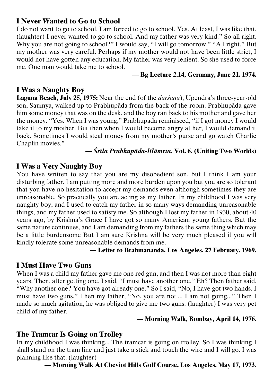# **I Never Wanted to Go to School**

I do not want to go to school. I am forced to go to school. Yes. At least, I was like that. (laughter) I never wanted to go to school. And my father was very kind." So all right. Why you are not going to school?" I would say, "I will go tomorrow." "All right." But my mother was very careful. Perhaps if my mother would not have been little strict, I would not have gotten any education. My father was very lenient. So she used to force me. One man would take me to school.

#### **— Bg Lecture 2.14, Germany, June 21. 1974.**

# **I Was a Naughty Boy**

Laguna Beach, July 25, 1975: Near the end (of the *darsana*), Upendra's three-year-old son, Saumya, walked up to Prabhupäda from the back of the room. Prabhupäda gave him some money that was on the desk, and the boy ran back to his mother and gave her the money. "Yes. When I was young," Prabhupäda reminisced, "if I got money I would take it to my mother. But then when I would become angry at her, I would demand it back. Sometimes I would steal money from my mother's purse and go watch Charlie Chaplin movies."

#### **—** *Çréla Prabhupäda-lélämåta***, Vol. 6. (Uniting Two Worlds)**

# **I Was a Very Naughty Boy**

You have written to say that you are my disobedient son, but I think I am your disturbing father. I am putting more and more burden upon you but you are so tolerant that you have no hesitation to accept my demands even although sometimes they are unreasonable. So practically you are acting as my father. In my childhood I was very naughty boy, and I used to catch my father in so many ways demanding unreasonable things, and my father used to satisfy me. So although I lost my father in 1930, about 40 years ago, by Krishna's Grace I have got so many American young fathers. But the same nature continues, and I am demanding from my fathers the same thing which may be a little burdensome But I am sure Krishna will be very much pleased if you will kindly tolerate some unreasonable demands from me.

#### **— Letter to Brahmananda, Los Angeles, 27 February. 1969.**

# **I Must Have Two Guns**

When I was a child my father gave me one red gun, and then I was not more than eight years. Then, after getting one, I said, "I must have another one." Eh? Then father said, "Why another one? You have got already one." So I said, "No, I have got two hands. I must have two guns." Then my father, "No. you are not.... I am not going..." Then I made so much agitation, he was obliged to give me two guns. (laughter) I was very pet child of my father.

#### **— Morning Walk, Bombay, April 14, 1976.**

# **The Tramcar Is Going on Trolley**

In my childhood I was thinking... The tramcar is going on trolley. So I was thinking I shall stand on the tram line and just take a stick and touch the wire and I will go. I was planning like that. (laughter)

**— Morning Walk At Cheviot Hills Golf Course, Los Angeles, May 17, 1973.**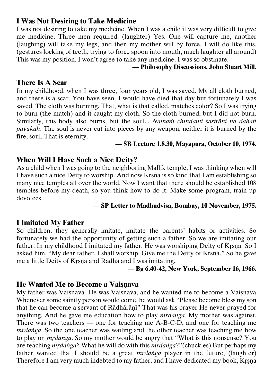# **I Was Not Desiring to Take Medicine**

I was not desiring to take my medicine. When I was a child it was very difficult to give me medicine. Three men required. (laughter) Yes. One will capture me, another (laughing) will take my legs, and then my mother will by force, I will do like this. (gestures locking of teeth, trying to force spoon into mouth, much laughter all around) This was my position. I won't agree to take any medicine. I was so obstinate.

#### **— Philosophy Discussions, John Stuart Mill.**

# **There Is A Scar**

In my childhood, when I was three, four years old, I was saved. My all cloth burned, and there is a scar. You have seen. I would have died that day but fortunately I was saved. The cloth was burning. That, what is that called, matches color? So I was trying to burn (the match) and it caught my cloth. So the cloth burned, but I did not burn. Similarly, this body also burns, but the soul... *Nainam chindanti sastrāni na dahati pävakah*. The soul is never cut into pieces by any weapon, neither it is burned by the fire, soul. That is eternity.

## **— ÇB Lecture 1.8.30, Mäyäpura, October 10, 1974.**

# **When Will I Have Such a Nice Deity?**

As a child when I was going to the neighboring Mallik temple, I was thinking when will I have such a nice Deity to worship. And now Krsna is so kind that I am establishing so many nice temples all over the world. Now I want that there should be established 108 temples before my death, so you think how to do it. Make some program, train up devotees.

#### **— ÇP Letter to Madhudvisa, Bombay, 10 November, 1975.**

# **I Imitated My Father**

So children, they generally imitate, imitate the parents' habits or activities. So fortunately we had the opportunity of getting such a father. So we are imitating our father. In my childhood I imitated my father. He was worshiping Deity of Krsna. So I asked him, "My dear father, I shall worship. Give me the Deity of Krsna." So he gave me a little Deity of Krsna and Rädhä and I was imitating.

#### **— Bg 6.40-42, New York, September 16, 1966.**

## **He Wanted Me to Become a Vaisnava**

My father was Vaisnava. He was Vaisnava, and he wanted me to become a Vaisnava Whenever some saintly person would come, he would ask "Please become bless my son that he can become a servant of Rādhārānī" That was his prayer He never prayed for anything. And he gave me education how to play *mrdanga*. My mother was against. There was two teachers — one for teaching me A-B-C-D, and one for teaching me *mrdanga*. So the one teacher was waiting and the other teacher was teaching me how to play on *mrdanga*. So my mother would be angry that "What is this nonsense? You are teaching *mrdanga?* What he will do with this *mrdanga*?"(chuckles) But perhaps my father wanted that I should be a great *mrdanga* player in the future, (laughter) Therefore I am very much indebted to my father, and I have dedicated my book, Krsna